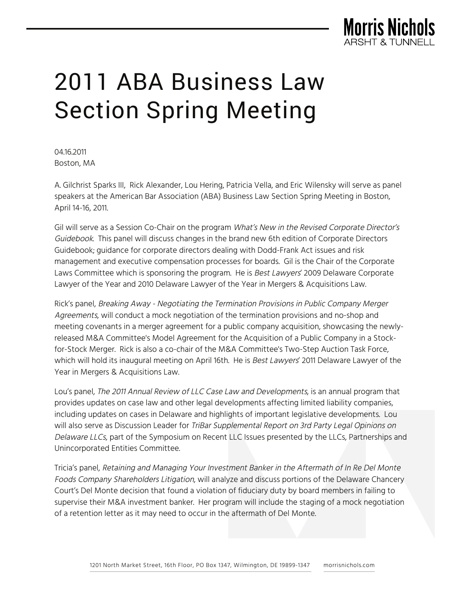

## 2011 ABA Business Law Section Spring Meeting

04.16.2011 Boston, MA

A. Gilchrist Sparks III, Rick Alexander, Lou Hering, Patricia Vella, and Eric Wilensky will serve as panel speakers at the American Bar Association (ABA) Business Law Section Spring Meeting in Boston, April 14-16, 2011.

Gil will serve as a Session Co-Chair on the program What's New in the Revised Corporate Director's Guidebook. This panel will discuss changes in the brand new 6th edition of Corporate Directors Guidebook; guidance for corporate directors dealing with Dodd-Frank Act issues and risk management and executive compensation processes for boards. Gil is the Chair of the Corporate Laws Committee which is sponsoring the program. He is Best Lawyers' 2009 Delaware Corporate Lawyer of the Year and 2010 Delaware Lawyer of the Year in Mergers & Acquisitions Law.

Rick's panel, Breaking Away - Negotiating the Termination Provisions in Public Company Merger Agreements, will conduct a mock negotiation of the termination provisions and no-shop and meeting covenants in a merger agreement for a public company acquisition, showcasing the newlyreleased M&A Committee's Model Agreement for the Acquisition of a Public Company in a Stockfor-Stock Merger. Rick is also a co-chair of the M&A Committee's Two-Step Auction Task Force, which will hold its inaugural meeting on April 16th. He is Best Lawyers' 2011 Delaware Lawyer of the Year in Mergers & Acquisitions Law.

Lou's panel, The 2011 Annual Review of LLC Case Law and Developments, is an annual program that provides updates on case law and other legal developments affecting limited liability companies, including updates on cases in Delaware and highlights of important legislative developments. Lou will also serve as Discussion Leader for TriBar Supplemental Report on 3rd Party Legal Opinions on Delaware LLCs, part of the Symposium on Recent LLC Issues presented by the LLCs, Partnerships and Unincorporated Entities Committee.

Tricia's panel, Retaining and Managing Your Investment Banker in the Aftermath of In Re Del Monte Foods Company Shareholders Litigation, will analyze and discuss portions of the Delaware Chancery Court's Del Monte decision that found a violation of fiduciary duty by board members in failing to supervise their M&A investment banker. Her program will include the staging of a mock negotiation of a retention letter as it may need to occur in the aftermath of Del Monte.